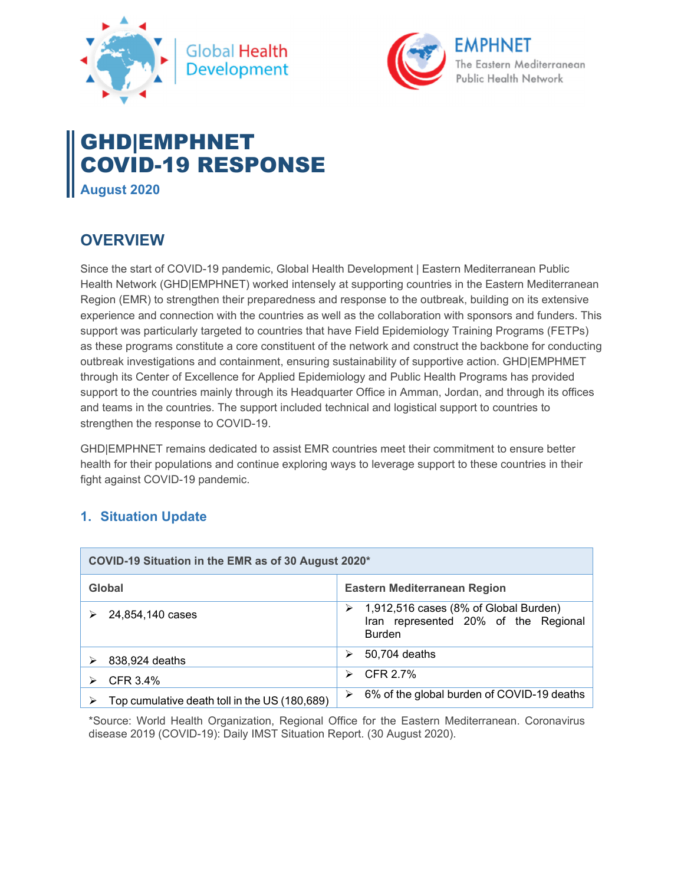



# GHD|EMPHNET COVID-19 RESPONSE **August 2020**

# **OVERVIEW**

Since the start of COVID-19 pandemic, Global Health Development | Eastern Mediterranean Public Health Network (GHD|EMPHNET) worked intensely at supporting countries in the Eastern Mediterranean Region (EMR) to strengthen their preparedness and response to the outbreak, building on its extensive experience and connection with the countries as well as the collaboration with sponsors and funders. This support was particularly targeted to countries that have Field Epidemiology Training Programs (FETPs) as these programs constitute a core constituent of the network and construct the backbone for conducting outbreak investigations and containment, ensuring sustainability of supportive action. GHD|EMPHMET through its Center of Excellence for Applied Epidemiology and Public Health Programs has provided support to the countries mainly through its Headquarter Office in Amman, Jordan, and through its offices and teams in the countries. The support included technical and logistical support to countries to strengthen the response to COVID-19.

GHD|EMPHNET remains dedicated to assist EMR countries meet their commitment to ensure better health for their populations and continue exploring ways to leverage support to these countries in their fight against COVID-19 pandemic.

# **1. Situation Update**

| COVID-19 Situation in the EMR as of 30 August 2020* |                                                                                                     |
|-----------------------------------------------------|-----------------------------------------------------------------------------------------------------|
| Global                                              | Eastern Mediterranean Region                                                                        |
| 24,854,140 cases                                    | 1,912,516 cases (8% of Global Burden)<br>➤<br>Iran represented 20% of the Regional<br><b>Burden</b> |
| 838,924 deaths                                      | 50,704 deaths<br>⋗                                                                                  |
| CFR 3.4%                                            | CFR 2.7%<br>⋗                                                                                       |
| Top cumulative death toll in the US (180,689)       | 6% of the global burden of COVID-19 deaths<br>➤                                                     |

\*Source: World Health Organization, Regional Office for the Eastern Mediterranean. Coronavirus disease 2019 (COVID-19): Daily IMST Situation Report. (30 August 2020).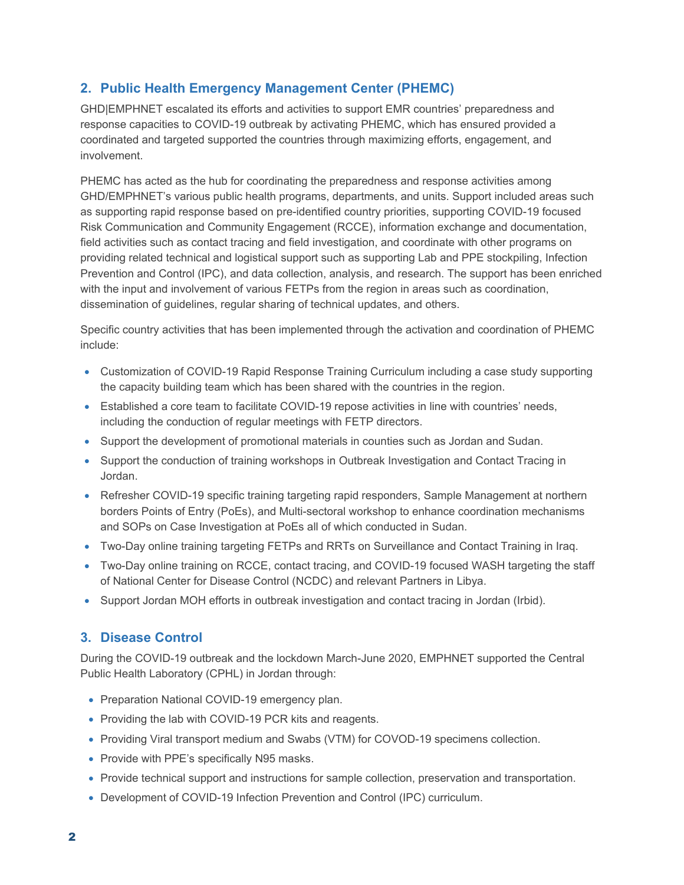# **2. Public Health Emergency Management Center (PHEMC)**

GHD|EMPHNET escalated its efforts and activities to support EMR countries' preparedness and response capacities to COVID-19 outbreak by activating PHEMC, which has ensured provided a coordinated and targeted supported the countries through maximizing efforts, engagement, and involvement.

PHEMC has acted as the hub for coordinating the preparedness and response activities among GHD/EMPHNET's various public health programs, departments, and units. Support included areas such as supporting rapid response based on pre-identified country priorities, supporting COVID-19 focused Risk Communication and Community Engagement (RCCE), information exchange and documentation, field activities such as contact tracing and field investigation, and coordinate with other programs on providing related technical and logistical support such as supporting Lab and PPE stockpiling, Infection Prevention and Control (IPC), and data collection, analysis, and research. The support has been enriched with the input and involvement of various FETPs from the region in areas such as coordination, dissemination of guidelines, regular sharing of technical updates, and others.

Specific country activities that has been implemented through the activation and coordination of PHEMC include:

- Customization of COVID-19 Rapid Response Training Curriculum including a case study supporting the capacity building team which has been shared with the countries in the region.
- Established a core team to facilitate COVID-19 repose activities in line with countries' needs, including the conduction of regular meetings with FETP directors.
- Support the development of promotional materials in counties such as Jordan and Sudan.
- Support the conduction of training workshops in Outbreak Investigation and Contact Tracing in Jordan.
- Refresher COVID-19 specific training targeting rapid responders, Sample Management at northern borders Points of Entry (PoEs), and Multi-sectoral workshop to enhance coordination mechanisms and SOPs on Case Investigation at PoEs all of which conducted in Sudan.
- Two-Day online training targeting FETPs and RRTs on Surveillance and Contact Training in Iraq.
- Two-Day online training on RCCE, contact tracing, and COVID-19 focused WASH targeting the staff of National Center for Disease Control (NCDC) and relevant Partners in Libya.
- Support Jordan MOH efforts in outbreak investigation and contact tracing in Jordan (Irbid).

#### **3. Disease Control**

During the COVID-19 outbreak and the lockdown March-June 2020, EMPHNET supported the Central Public Health Laboratory (CPHL) in Jordan through:

- Preparation National COVID-19 emergency plan.
- Providing the lab with COVID-19 PCR kits and reagents.
- Providing Viral transport medium and Swabs (VTM) for COVOD-19 specimens collection.
- Provide with PPE's specifically N95 masks.
- Provide technical support and instructions for sample collection, preservation and transportation.
- Development of COVID-19 Infection Prevention and Control (IPC) curriculum.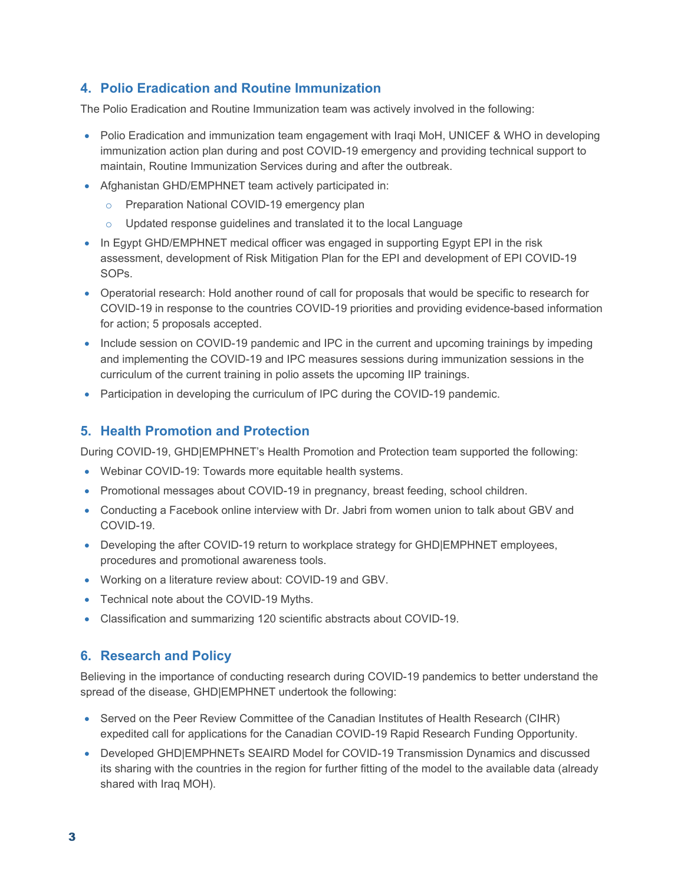### **4. Polio Eradication and Routine Immunization**

The Polio Eradication and Routine Immunization team was actively involved in the following:

- Polio Eradication and immunization team engagement with Iraqi MoH, UNICEF & WHO in developing immunization action plan during and post COVID-19 emergency and providing technical support to maintain, Routine Immunization Services during and after the outbreak.
- Afghanistan GHD/EMPHNET team actively participated in:
	- o Preparation National COVID-19 emergency plan
	- o Updated response guidelines and translated it to the local Language
- In Egypt GHD/EMPHNET medical officer was engaged in supporting Egypt EPI in the risk assessment, development of Risk Mitigation Plan for the EPI and development of EPI COVID-19 SOPs.
- Operatorial research: Hold another round of call for proposals that would be specific to research for COVID-19 in response to the countries COVID-19 priorities and providing evidence-based information for action; 5 proposals accepted.
- Include session on COVID-19 pandemic and IPC in the current and upcoming trainings by impeding and implementing the COVID-19 and IPC measures sessions during immunization sessions in the curriculum of the current training in polio assets the upcoming IIP trainings.
- Participation in developing the curriculum of IPC during the COVID-19 pandemic.

#### **5. Health Promotion and Protection**

During COVID-19, GHD|EMPHNET's Health Promotion and Protection team supported the following:

- Webinar COVID-19: Towards more equitable health systems.
- Promotional messages about COVID-19 in pregnancy, breast feeding, school children.
- Conducting a Facebook online interview with Dr. Jabri from women union to talk about GBV and COVID-19.
- Developing the after COVID-19 return to workplace strategy for GHD|EMPHNET employees, procedures and promotional awareness tools.
- Working on a literature review about: COVID-19 and GBV.
- Technical note about the COVID-19 Myths.
- Classification and summarizing 120 scientific abstracts about COVID-19.

#### **6. Research and Policy**

Believing in the importance of conducting research during COVID-19 pandemics to better understand the spread of the disease, GHD|EMPHNET undertook the following:

- Served on the Peer Review Committee of the Canadian Institutes of Health Research (CIHR) expedited call for applications for the Canadian COVID-19 Rapid Research Funding Opportunity.
- Developed GHD|EMPHNETs SEAIRD Model for COVID-19 Transmission Dynamics and discussed its sharing with the countries in the region for further fitting of the model to the available data (already shared with Iraq MOH).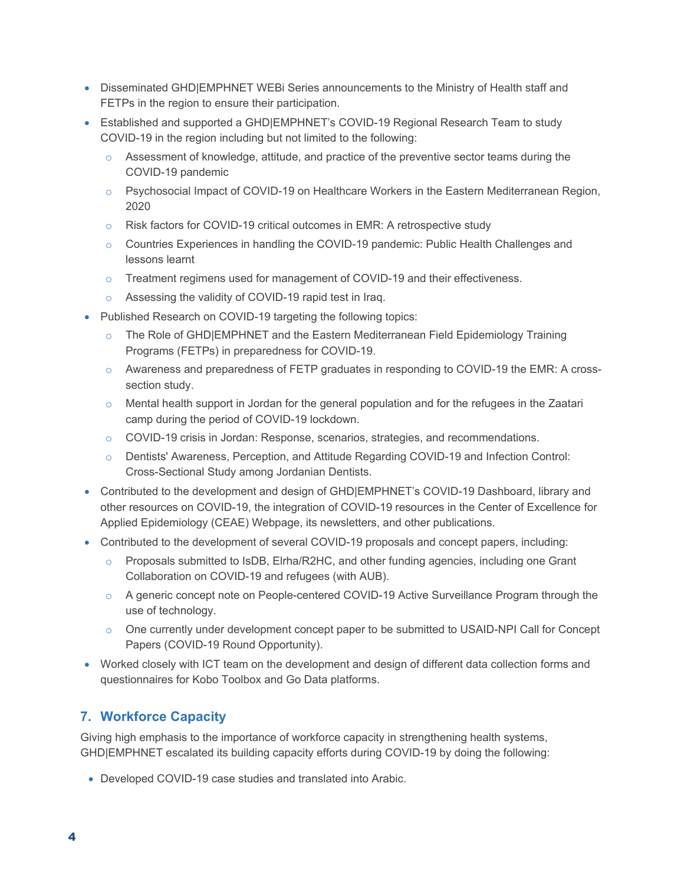- Disseminated GHD|EMPHNET WEBi Series announcements to the Ministry of Health staff and FETPs in the region to ensure their participation.
- Established and supported a GHD|EMPHNET's COVID-19 Regional Research Team to study COVID-19 in the region including but not limited to the following:
	- $\circ$  Assessment of knowledge, attitude, and practice of the preventive sector teams during the COVID-19 pandemic
	- $\circ$  Psychosocial Impact of COVID-19 on Healthcare Workers in the Eastern Mediterranean Region, 2020
	- o Risk factors for COVID-19 critical outcomes in EMR: A retrospective study
	- $\circ$  Countries Experiences in handling the COVID-19 pandemic: Public Health Challenges and lessons learnt
	- o Treatment regimens used for management of COVID-19 and their effectiveness.
	- o Assessing the validity of COVID-19 rapid test in Iraq.
- Published Research on COVID-19 targeting the following topics:
	- $\circ$  The Role of GHD|EMPHNET and the Eastern Mediterranean Field Epidemiology Training Programs (FETPs) in preparedness for COVID-19.
	- o Awareness and preparedness of FETP graduates in responding to COVID-19 the EMR: A crosssection study.
	- $\circ$  Mental health support in Jordan for the general population and for the refugees in the Zaatari camp during the period of COVID-19 lockdown.
	- o COVID-19 crisis in Jordan: Response, scenarios, strategies, and recommendations.
	- o Dentists' Awareness, Perception, and Attitude Regarding COVID-19 and Infection Control: Cross-Sectional Study among Jordanian Dentists.
- Contributed to the development and design of GHD|EMPHNET's COVID-19 Dashboard, library and other resources on COVID-19, the integration of COVID-19 resources in the Center of Excellence for Applied Epidemiology (CEAE) Webpage, its newsletters, and other publications.
- Contributed to the development of several COVID-19 proposals and concept papers, including:
	- o Proposals submitted to IsDB, Elrha/R2HC, and other funding agencies, including one Grant Collaboration on COVID-19 and refugees (with AUB).
	- $\circ$  A generic concept note on People-centered COVID-19 Active Surveillance Program through the use of technology.
	- $\circ$  One currently under development concept paper to be submitted to USAID-NPI Call for Concept Papers (COVID-19 Round Opportunity).
- Worked closely with ICT team on the development and design of different data collection forms and questionnaires for Kobo Toolbox and Go Data platforms.

# **7. Workforce Capacity**

Giving high emphasis to the importance of workforce capacity in strengthening health systems, GHD|EMPHNET escalated its building capacity efforts during COVID-19 by doing the following:

Developed COVID-19 case studies and translated into Arabic.